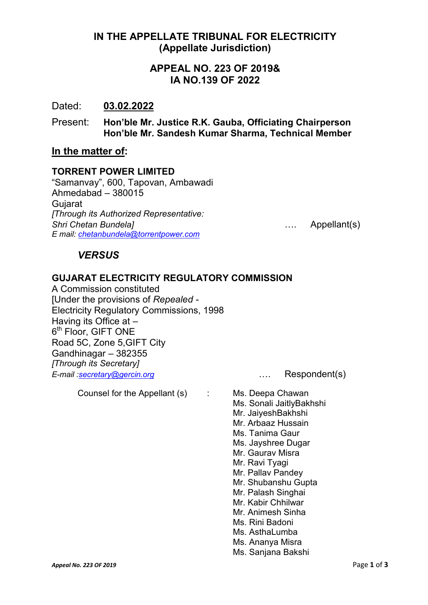## IN THE APPELLATE TRIBUNAL FOR ELECTRICITY (Appellate Jurisdiction)

## APPEAL NO. 223 OF 2019& IA NO.139 OF 2022

## Dated: 03.02.2022

Present: Hon'ble Mr. Justice R.K. Gauba, Officiating Chairperson Hon'ble Mr. Sandesh Kumar Sharma, Technical Member

## In the matter of:

#### TORRENT POWER LIMITED

"Samanvay", 600, Tapovan, Ambawadi Ahmedabad – 380015 **Gujarat** *[Through its Authorized Representative: Shri Chetan Bundela]* …. Appellant(s) *E mail: [chetanbundela@torrentpower.com](mailto:chetanbundela@torrentpower.com)*

## *VERSUS*

## GUJARAT ELECTRICITY REGULATORY COMMISSION

A Commission constituted [Under the provisions of *Repealed -* Electricity Regulatory Commissions, 1998 Having its Office at – 6<sup>th</sup> Floor, GIFT ONE Road 5C, Zone 5,GIFT City Gandhinagar – 382355 *[Through its Secretary] E-mail [:secretary@gercin.org](mailto:secretary@gercin.org)* …. Respondent(s)

Counsel for the Appellant (s) : Ms. Deepa Chawan

Ms. Sonali JaitlyBakhshi Mr. JaiyeshBakhshi Mr. Arbaaz Hussain Ms. Tanima Gaur Ms. Jayshree Dugar Mr. Gaurav Misra Mr. Ravi Tyagi Mr. Pallav Pandey Mr. Shubanshu Gupta Mr. Palash Singhai Mr. Kabir Chhilwar Mr. Animesh Sinha Ms. Rini Badoni Ms. AsthaLumba Ms. Ananya Misra Ms. Sanjana Bakshi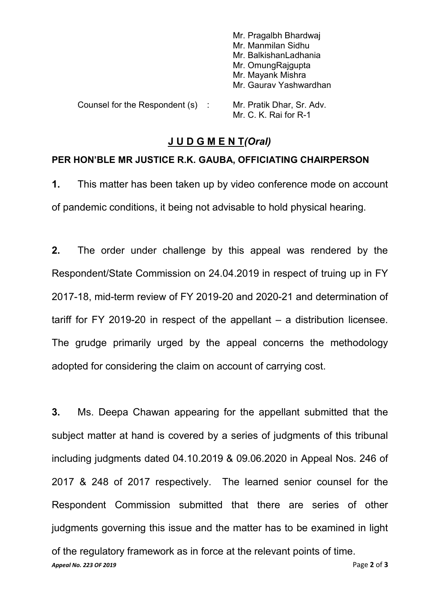|                                | Mr. Pragalbh Bhardwaj     |
|--------------------------------|---------------------------|
|                                | Mr. Manmilan Sidhu        |
|                                | Mr. BalkishanLadhania     |
|                                | Mr. OmungRajgupta         |
|                                | Mr. Mayank Mishra         |
|                                | Mr. Gaurav Yashwardhan    |
| Counsel for the Respondent (s) | Mr. Pratik Dhar, Sr. Adv. |
|                                | Mr. C. K. Rai for R-1     |

## J U D G M E N T*(Oral)*

#### PER HON'BLE MR JUSTICE R.K. GAUBA, OFFICIATING CHAIRPERSON

1. This matter has been taken up by video conference mode on account of pandemic conditions, it being not advisable to hold physical hearing.

2. The order under challenge by this appeal was rendered by the Respondent/State Commission on 24.04.2019 in respect of truing up in FY 2017-18, mid-term review of FY 2019-20 and 2020-21 and determination of tariff for FY 2019-20 in respect of the appellant – a distribution licensee. The grudge primarily urged by the appeal concerns the methodology adopted for considering the claim on account of carrying cost.

*Appeal No. 223 OF 2019* Page 2 of 3 3. Ms. Deepa Chawan appearing for the appellant submitted that the subject matter at hand is covered by a series of judgments of this tribunal including judgments dated 04.10.2019 & 09.06.2020 in Appeal Nos. 246 of 2017 & 248 of 2017 respectively. The learned senior counsel for the Respondent Commission submitted that there are series of other judgments governing this issue and the matter has to be examined in light of the regulatory framework as in force at the relevant points of time.